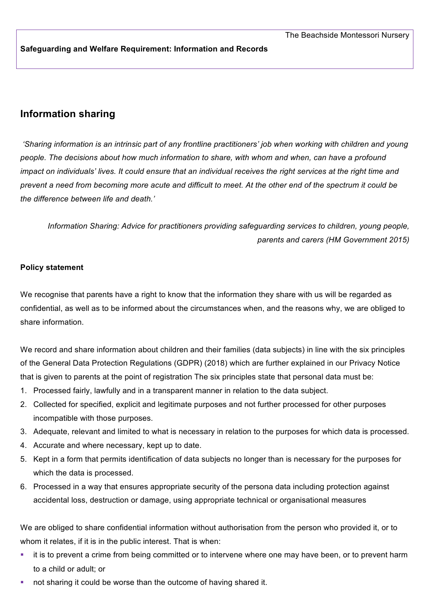#### **Safeguarding and Welfare Requirement: Information and Records**

# **Information sharing**

*'Sharing information is an intrinsic part of any frontline practitioners' job when working with children and young people. The decisions about how much information to share, with whom and when, can have a profound impact on individuals' lives. It could ensure that an individual receives the right services at the right time and prevent a need from becoming more acute and difficult to meet. At the other end of the spectrum it could be the difference between life and death.'*

*Information Sharing: Advice for practitioners providing safeguarding services to children, young people, parents and carers (HM Government 2015)*

#### **Policy statement**

We recognise that parents have a right to know that the information they share with us will be regarded as confidential, as well as to be informed about the circumstances when, and the reasons why, we are obliged to share information.

We record and share information about children and their families (data subjects) in line with the six principles of the General Data Protection Regulations (GDPR) (2018) which are further explained in our Privacy Notice that is given to parents at the point of registration The six principles state that personal data must be:

- 1. Processed fairly, lawfully and in a transparent manner in relation to the data subject.
- 2. Collected for specified, explicit and legitimate purposes and not further processed for other purposes incompatible with those purposes.
- 3. Adequate, relevant and limited to what is necessary in relation to the purposes for which data is processed.
- 4. Accurate and where necessary, kept up to date.
- 5. Kept in a form that permits identification of data subjects no longer than is necessary for the purposes for which the data is processed.
- 6. Processed in a way that ensures appropriate security of the persona data including protection against accidental loss, destruction or damage, using appropriate technical or organisational measures

We are obliged to share confidential information without authorisation from the person who provided it, or to whom it relates, if it is in the public interest. That is when:

- It is to prevent a crime from being committed or to intervene where one may have been, or to prevent harm to a child or adult; or
- not sharing it could be worse than the outcome of having shared it.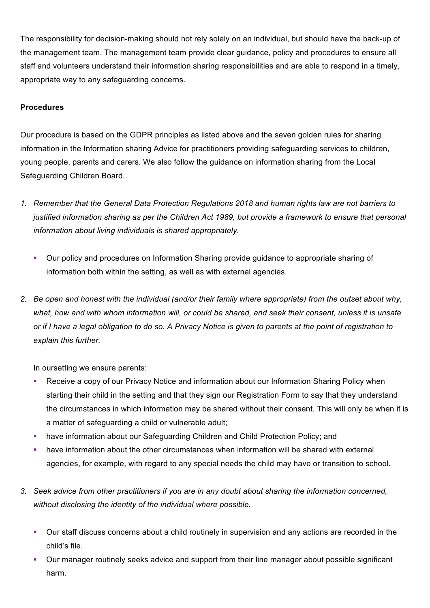The responsibility for decision-making should not rely solely on an individual, but should have the back-up of the management team. The management team provide clear guidance, policy and procedures to ensure all staff and volunteers understand their information sharing responsibilities and are able to respond in a timely, appropriate way to any safeguarding concerns.

## **Procedures**

Our procedure is based on the GDPR principles as listed above and the seven golden rules for sharing information in the Information sharing Advice for practitioners providing safeguarding services to children, young people, parents and carers*.* We also follow the guidance on information sharing from the Local Safeguarding Children Board.

- *1. Remember that the General Data Protection Regulations 2018 and human rights law are not barriers to justified information sharing as per the Children Act 1989, but provide a framework to ensure that personal information about living individuals is shared appropriately.*
	- § Our policy and procedures on Information Sharing provide guidance to appropriate sharing of information both within the setting, as well as with external agencies.
- *2. Be open and honest with the individual (and/or their family where appropriate) from the outset about why, what, how and with whom information will, or could be shared, and seek their consent, unless it is unsafe or if I have a legal obligation to do so. A Privacy Notice is given to parents at the point of registration to explain this further.*

In oursetting we ensure parents:

- Receive a copy of our Privacy Notice and information about our Information Sharing Policy when starting their child in the setting and that they sign our Registration Form to say that they understand the circumstances in which information may be shared without their consent. This will only be when it is a matter of safeguarding a child or vulnerable adult;
- have information about our Safeguarding Children and Child Protection Policy; and
- have information about the other circumstances when information will be shared with external agencies, for example, with regard to any special needs the child may have or transition to school.
- *3. Seek advice from other practitioners if you are in any doubt about sharing the information concerned, without disclosing the identity of the individual where possible.*
	- Our staff discuss concerns about a child routinely in supervision and any actions are recorded in the child's file.
	- § Our manager routinely seeks advice and support from their line manager about possible significant harm.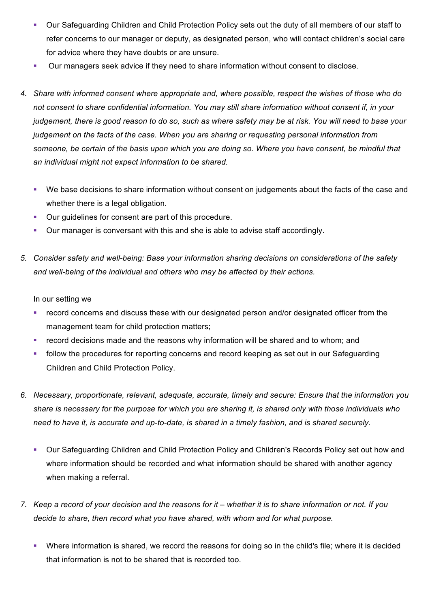- Our Safeguarding Children and Child Protection Policy sets out the duty of all members of our staff to refer concerns to our manager or deputy, as designated person, who will contact children's social care for advice where they have doubts or are unsure.
- § Our managers seek advice if they need to share information without consent to disclose.
- *4. Share with informed consent where appropriate and, where possible, respect the wishes of those who do not consent to share confidential information. You may still share information without consent if, in your judgement, there is good reason to do so, such as where safety may be at risk. You will need to base your judgement on the facts of the case. When you are sharing or requesting personal information from someone, be certain of the basis upon which you are doing so. Where you have consent, be mindful that an individual might not expect information to be shared.* 
	- We base decisions to share information without consent on judgements about the facts of the case and whether there is a legal obligation.
	- Our guidelines for consent are part of this procedure.
	- § Our manager is conversant with this and she is able to advise staff accordingly.
- *5. Consider safety and well-being: Base your information sharing decisions on considerations of the safety and well-being of the individual and others who may be affected by their actions.*

In our setting we

- record concerns and discuss these with our designated person and/or designated officer from the management team for child protection matters;
- record decisions made and the reasons why information will be shared and to whom; and
- follow the procedures for reporting concerns and record keeping as set out in our Safeguarding Children and Child Protection Policy.
- *6. Necessary, proportionate, relevant, adequate, accurate, timely and secure: Ensure that the information you share is necessary for the purpose for which you are sharing it, is shared only with those individuals who need to have it, is accurate and up-to-date, is shared in a timely fashion, and is shared securely.*
	- § Our Safeguarding Children and Child Protection Policy and Children's Records Policy set out how and where information should be recorded and what information should be shared with another agency when making a referral.
- *7. Keep a record of your decision and the reasons for it – whether it is to share information or not. If you decide to share, then record what you have shared, with whom and for what purpose.*
	- Where information is shared, we record the reasons for doing so in the child's file; where it is decided that information is not to be shared that is recorded too.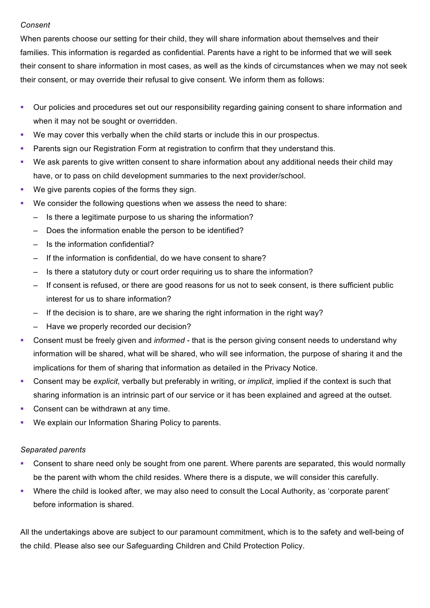#### *Consent*

When parents choose our setting for their child, they will share information about themselves and their families. This information is regarded as confidential. Parents have a right to be informed that we will seek their consent to share information in most cases, as well as the kinds of circumstances when we may not seek their consent, or may override their refusal to give consent. We inform them as follows:

- § Our policies and procedures set out our responsibility regarding gaining consent to share information and when it may not be sought or overridden.
- § We may cover this verbally when the child starts or include this in our prospectus.
- **Parents sign our Registration Form at registration to confirm that they understand this.**
- We ask parents to give written consent to share information about any additional needs their child may have, or to pass on child development summaries to the next provider/school.
- We give parents copies of the forms they sign.
- We consider the following questions when we assess the need to share:
	- Is there a legitimate purpose to us sharing the information?
	- Does the information enable the person to be identified?
	- Is the information confidential?
	- If the information is confidential, do we have consent to share?
	- Is there a statutory duty or court order requiring us to share the information?
	- If consent is refused, or there are good reasons for us not to seek consent, is there sufficient public interest for us to share information?
	- If the decision is to share, are we sharing the right information in the right way?
	- Have we properly recorded our decision?
- § Consent must be freely given and *informed* that is the person giving consent needs to understand why information will be shared, what will be shared, who will see information, the purpose of sharing it and the implications for them of sharing that information as detailed in the Privacy Notice.
- § Consent may be *explicit*, verbally but preferably in writing, or *implicit*, implied if the context is such that sharing information is an intrinsic part of our service or it has been explained and agreed at the outset.
- Consent can be withdrawn at any time.
- We explain our Information Sharing Policy to parents.

### *Separated parents*

- § Consent to share need only be sought from one parent. Where parents are separated, this would normally be the parent with whom the child resides. Where there is a dispute, we will consider this carefully.
- Where the child is looked after, we may also need to consult the Local Authority, as 'corporate parent' before information is shared.

All the undertakings above are subject to our paramount commitment, which is to the safety and well-being of the child. Please also see our Safeguarding Children and Child Protection Policy.